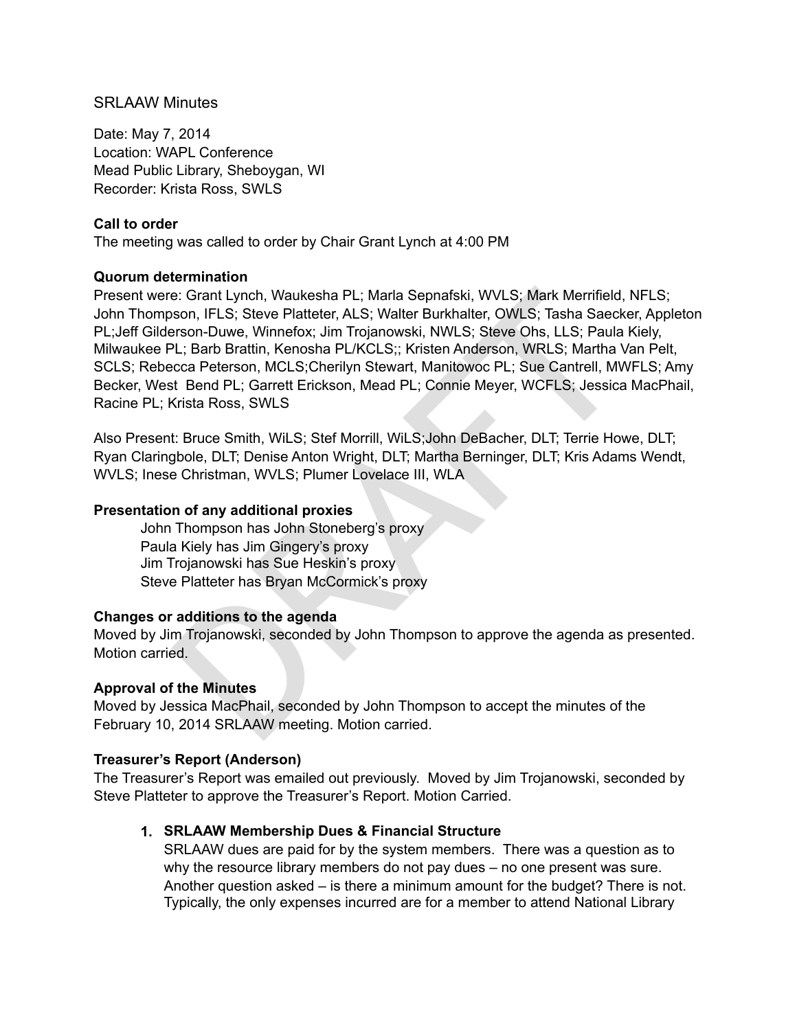### SRLAAW Minutes

Date: May 7, 2014 Location: WAPL Conference Mead Public Library, Sheboygan, WI Recorder: Krista Ross, SWLS

### **Call to order**

The meeting was called to order by Chair Grant Lynch at 4:00 PM

### **Quorum determination**

e: Grant Lynch, Waukesha PL; Marla Sepnafski, WVLS; Mark Merrifield,<br>son, IFLS; Steve Platteter, ALS; Walter Burkhalter, OWLS; Tasha Saeck<br>rsron-Duwe, Winnefox; Jim Trojanowski, NWLS; Steve Ohs, LLS; Paula<br>PL; State Ohs, L Present were: Grant Lynch, Waukesha PL; Marla Sepnafski, WVLS; Mark Merrifield, NFLS; John Thompson, IFLS; Steve Platteter, ALS; Walter Burkhalter, OWLS; Tasha Saecker, Appleton PL;Jeff Gilderson-Duwe, Winnefox; Jim Trojanowski, NWLS; Steve Ohs, LLS; Paula Kiely, Milwaukee PL; Barb Brattin, Kenosha PL/KCLS;; Kristen Anderson, WRLS; Martha Van Pelt, SCLS; Rebecca Peterson, MCLS;Cherilyn Stewart, Manitowoc PL; Sue Cantrell, MWFLS; Amy Becker, West Bend PL; Garrett Erickson, Mead PL; Connie Meyer, WCFLS; Jessica MacPhail, Racine PL; Krista Ross, SWLS

Also Present: Bruce Smith, WiLS; Stef Morrill, WiLS;John DeBacher, DLT; Terrie Howe, DLT; Ryan Claringbole, DLT; Denise Anton Wright, DLT; Martha Berninger, DLT; Kris Adams Wendt, WVLS; Inese Christman, WVLS; Plumer Lovelace III, WLA

## **Presentation of any additional proxies**

 John Thompson has John Stoneberg's proxy Paula Kiely has Jim Gingery's proxy Jim Trojanowski has Sue Heskin's proxy Steve Platteter has Bryan McCormick's proxy

### **Changes or additions to the agenda**

Moved by Jim Trojanowski, seconded by John Thompson to approve the agenda as presented. Motion carried.

### **Approval of the Minutes**

Moved by Jessica MacPhail, seconded by John Thompson to accept the minutes of the February 10, 2014 SRLAAW meeting. Motion carried.

### **Treasurer's Report (Anderson)**

The Treasurer's Report was emailed out previously. Moved by Jim Trojanowski, seconded by Steve Platteter to approve the Treasurer's Report. Motion Carried.

# **1. SRLAAW Membership Dues & Financial Structure**

SRLAAW dues are paid for by the system members. There was a question as to why the resource library members do not pay dues – no one present was sure. Another question asked – is there a minimum amount for the budget? There is not. Typically, the only expenses incurred are for a member to attend National Library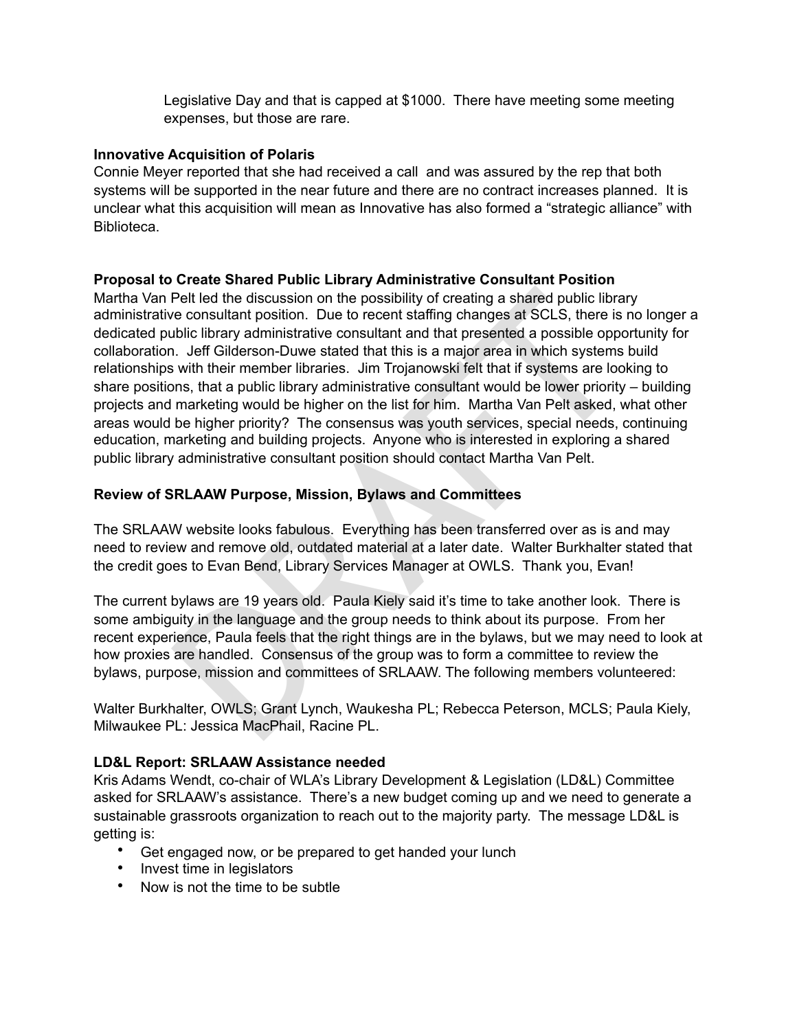Legislative Day and that is capped at \$1000. There have meeting some meeting expenses, but those are rare.

## **Innovative Acquisition of Polaris**

Connie Meyer reported that she had received a call and was assured by the rep that both systems will be supported in the near future and there are no contract increases planned. It is unclear what this acquisition will mean as Innovative has also formed a "strategic alliance" with **Biblioteca** 

# **Proposal to Create Shared Public Library Administrative Consultant Position**

Pelt led the discussion on the possibility of creating a shared public librare consultant position. Due to recent staffing changes at SCLS, there is ubic library administrative consultant and that presented a possible oppo Martha Van Pelt led the discussion on the possibility of creating a shared public library administrative consultant position. Due to recent staffing changes at SCLS, there is no longer a dedicated public library administrative consultant and that presented a possible opportunity for collaboration. Jeff Gilderson-Duwe stated that this is a major area in which systems build relationships with their member libraries. Jim Trojanowski felt that if systems are looking to share positions, that a public library administrative consultant would be lower priority – building projects and marketing would be higher on the list for him. Martha Van Pelt asked, what other areas would be higher priority? The consensus was youth services, special needs, continuing education, marketing and building projects. Anyone who is interested in exploring a shared public library administrative consultant position should contact Martha Van Pelt.

# **Review of SRLAAW Purpose, Mission, Bylaws and Committees**

The SRLAAW website looks fabulous. Everything has been transferred over as is and may need to review and remove old, outdated material at a later date. Walter Burkhalter stated that the credit goes to Evan Bend, Library Services Manager at OWLS. Thank you, Evan!

The current bylaws are 19 years old. Paula Kiely said it's time to take another look. There is some ambiguity in the language and the group needs to think about its purpose. From her recent experience, Paula feels that the right things are in the bylaws, but we may need to look at how proxies are handled. Consensus of the group was to form a committee to review the bylaws, purpose, mission and committees of SRLAAW. The following members volunteered:

Walter Burkhalter, OWLS; Grant Lynch, Waukesha PL; Rebecca Peterson, MCLS; Paula Kiely, Milwaukee PL: Jessica MacPhail, Racine PL.

# **LD&L Report: SRLAAW Assistance needed**

Kris Adams Wendt, co-chair of WLA's Library Development & Legislation (LD&L) Committee asked for SRLAAW's assistance. There's a new budget coming up and we need to generate a sustainable grassroots organization to reach out to the majority party. The message LD&L is getting is:

- Get engaged now, or be prepared to get handed your lunch
- Invest time in legislators
- Now is not the time to be subtle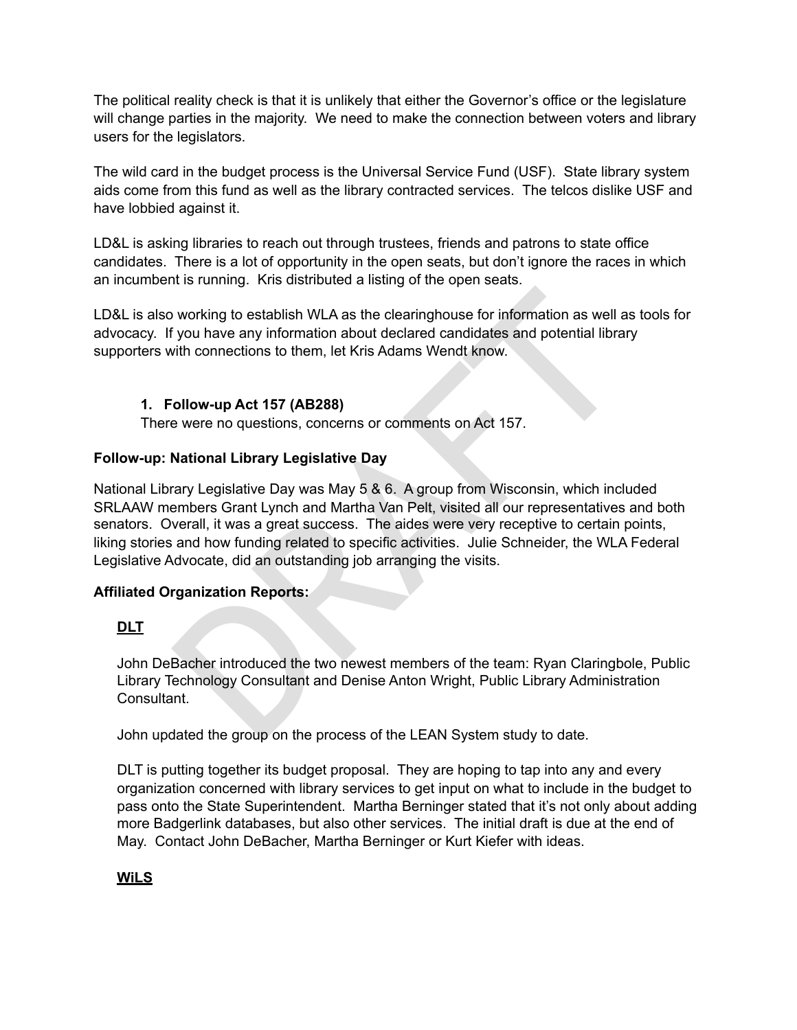The political reality check is that it is unlikely that either the Governor's office or the legislature will change parties in the majority. We need to make the connection between voters and library users for the legislators.

The wild card in the budget process is the Universal Service Fund (USF). State library system aids come from this fund as well as the library contracted services. The telcos dislike USF and have lobbied against it.

LD&L is asking libraries to reach out through trustees, friends and patrons to state office candidates. There is a lot of opportunity in the open seats, but don't ignore the races in which an incumbent is running. Kris distributed a listing of the open seats.

LD&L is also working to establish WLA as the clearinghouse for information as well as tools for advocacy. If you have any information about declared candidates and potential library supporters with connections to them, let Kris Adams Wendt know.

# **1. Follow-up Act 157 (AB288)**

There were no questions, concerns or comments on Act 157.

## **Follow-up: National Library Legislative Day**

working to establish WLA as the clearinghouse for information as well a<br>
f you have any information about declared candidates and potential librar<br>
fivith connections to them, let Kris Adams Wendt know.<br>
Collow-up Act 157 National Library Legislative Day was May 5 & 6. A group from Wisconsin, which included SRLAAW members Grant Lynch and Martha Van Pelt, visited all our representatives and both senators. Overall, it was a great success. The aides were very receptive to certain points, liking stories and how funding related to specific activities. Julie Schneider, the WLA Federal Legislative Advocate, did an outstanding job arranging the visits.

# **Affiliated Organization Reports:**

# **DLT**

John DeBacher introduced the two newest members of the team: Ryan Claringbole, Public Library Technology Consultant and Denise Anton Wright, Public Library Administration Consultant.

John updated the group on the process of the LEAN System study to date.

DLT is putting together its budget proposal. They are hoping to tap into any and every organization concerned with library services to get input on what to include in the budget to pass onto the State Superintendent. Martha Berninger stated that it's not only about adding more Badgerlink databases, but also other services. The initial draft is due at the end of May. Contact John DeBacher, Martha Berninger or Kurt Kiefer with ideas.

# **WiLS**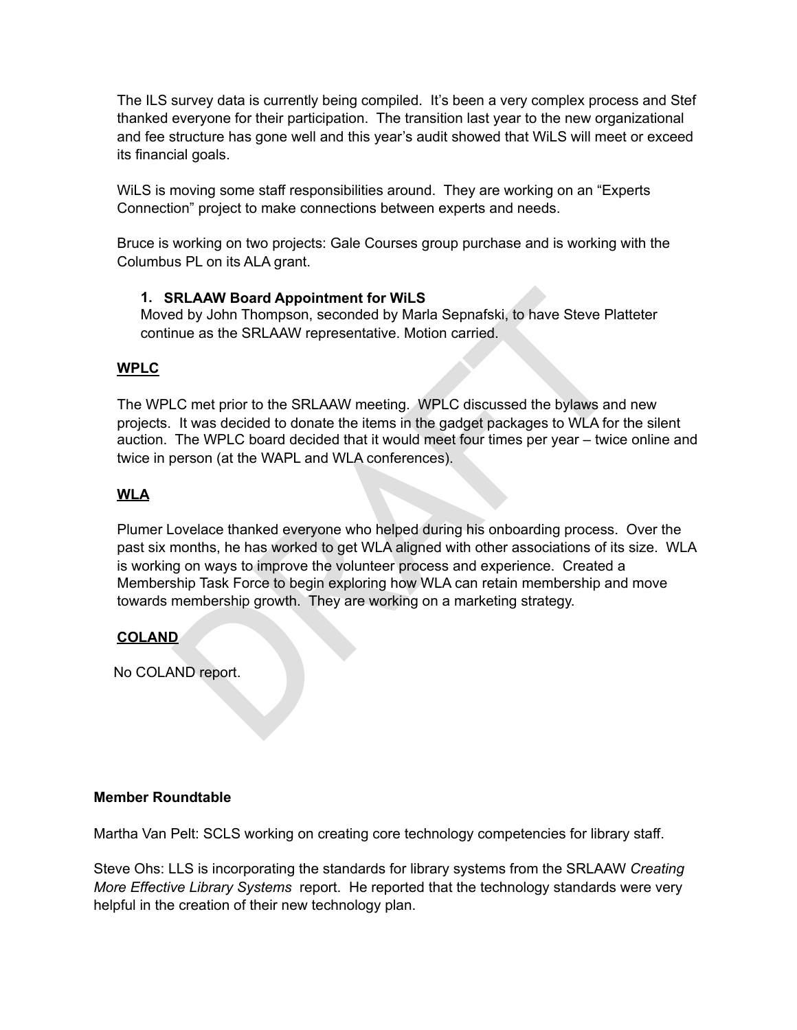The ILS survey data is currently being compiled. It's been a very complex process and Stef thanked everyone for their participation. The transition last year to the new organizational and fee structure has gone well and this year's audit showed that WiLS will meet or exceed its financial goals.

WiLS is moving some staff responsibilities around. They are working on an "Experts Connection" project to make connections between experts and needs.

Bruce is working on two projects: Gale Courses group purchase and is working with the Columbus PL on its ALA grant.

## **1. SRLAAW Board Appointment for WiLS**

Moved by John Thompson, seconded by Marla Sepnafski, to have Steve Platteter continue as the SRLAAW representative. Motion carried.

## **WPLC**

The WPLC met prior to the SRLAAW meeting. WPLC discussed the bylaws and new projects. It was decided to donate the items in the gadget packages to WLA for the silent auction. The WPLC board decided that it would meet four times per year – twice online and twice in person (at the WAPL and WLA conferences).

# **WLA**

**IRLAAW Board Appointment for WiLS**<br>Id by John Thompson, seconded by Maria Sepnafski, to have Steve Plat<br>nue as the SRLAAW representative. Motion carried.<br>LC met prior to the SRLAAW meeting. WPLC discussed the bylaws and<br>I Plumer Lovelace thanked everyone who helped during his onboarding process. Over the past six months, he has worked to get WLA aligned with other associations of its size. WLA is working on ways to improve the volunteer process and experience. Created a Membership Task Force to begin exploring how WLA can retain membership and move towards membership growth. They are working on a marketing strategy.

# **COLAND**

No COLAND report.

# **Member Roundtable**

Martha Van Pelt: SCLS working on creating core technology competencies for library staff.

Steve Ohs: LLS is incorporating the standards for library systems from the SRLAAW *Creating More Effective Library Systems* report. He reported that the technology standards were very helpful in the creation of their new technology plan.